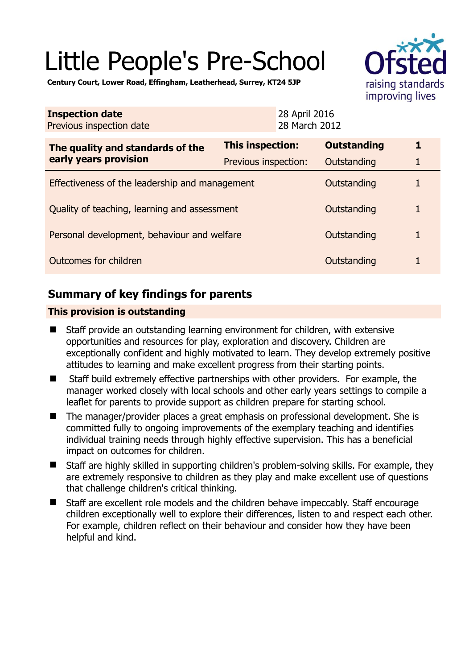# Little People's Pre-School



**Century Court, Lower Road, Effingham, Leatherhead, Surrey, KT24 5JP** 

| <b>Inspection date</b><br>Previous inspection date        | 28 April 2016<br>28 March 2012 |                    |   |
|-----------------------------------------------------------|--------------------------------|--------------------|---|
| The quality and standards of the<br>early years provision | This inspection:               | <b>Outstanding</b> | 1 |
|                                                           | Previous inspection:           | Outstanding        | 1 |
| Effectiveness of the leadership and management            |                                | Outstanding        |   |
| Quality of teaching, learning and assessment              |                                | Outstanding        | 1 |
| Personal development, behaviour and welfare               |                                | Outstanding        |   |
| Outcomes for children                                     |                                | Outstanding        |   |

## **Summary of key findings for parents**

## **This provision is outstanding**

- Staff provide an outstanding learning environment for children, with extensive opportunities and resources for play, exploration and discovery. Children are exceptionally confident and highly motivated to learn. They develop extremely positive attitudes to learning and make excellent progress from their starting points.
- Staff build extremely effective partnerships with other providers. For example, the manager worked closely with local schools and other early years settings to compile a leaflet for parents to provide support as children prepare for starting school.
- The manager/provider places a great emphasis on professional development. She is committed fully to ongoing improvements of the exemplary teaching and identifies individual training needs through highly effective supervision. This has a beneficial impact on outcomes for children.
- Staff are highly skilled in supporting children's problem-solving skills. For example, they are extremely responsive to children as they play and make excellent use of questions that challenge children's critical thinking.
- Staff are excellent role models and the children behave impeccably. Staff encourage children exceptionally well to explore their differences, listen to and respect each other. For example, children reflect on their behaviour and consider how they have been helpful and kind.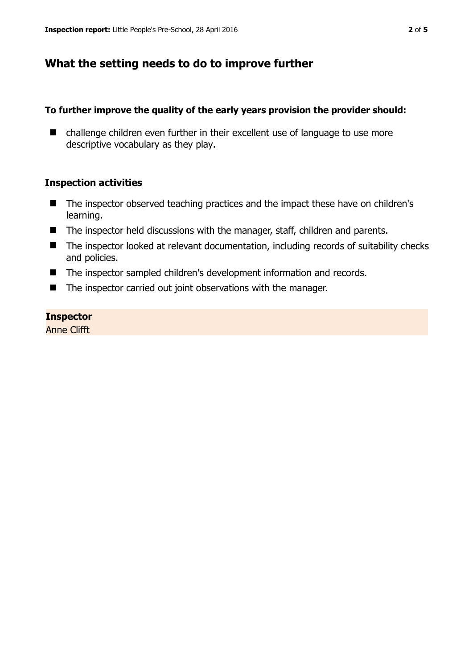## **What the setting needs to do to improve further**

#### **To further improve the quality of the early years provision the provider should:**

■ challenge children even further in their excellent use of language to use more descriptive vocabulary as they play.

## **Inspection activities**

- The inspector observed teaching practices and the impact these have on children's learning.
- The inspector held discussions with the manager, staff, children and parents.
- The inspector looked at relevant documentation, including records of suitability checks and policies.
- The inspector sampled children's development information and records.
- The inspector carried out joint observations with the manager.

#### **Inspector**

Anne Clifft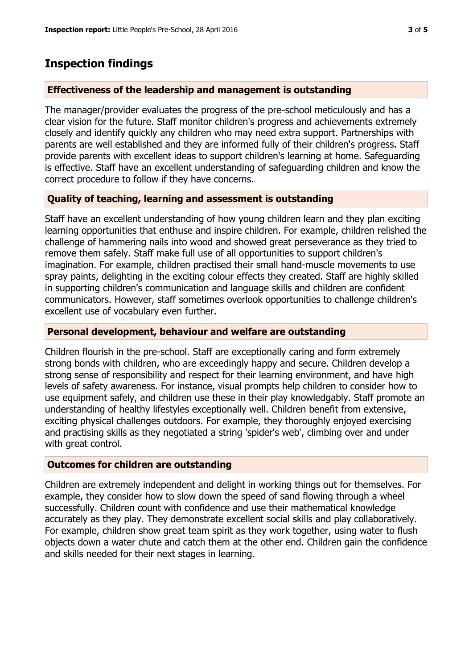## **Inspection findings**

## **Effectiveness of the leadership and management is outstanding**

The manager/provider evaluates the progress of the pre-school meticulously and has a clear vision for the future. Staff monitor children's progress and achievements extremely closely and identify quickly any children who may need extra support. Partnerships with parents are well established and they are informed fully of their children's progress. Staff provide parents with excellent ideas to support children's learning at home. Safeguarding is effective. Staff have an excellent understanding of safeguarding children and know the correct procedure to follow if they have concerns.

## **Quality of teaching, learning and assessment is outstanding**

Staff have an excellent understanding of how young children learn and they plan exciting learning opportunities that enthuse and inspire children. For example, children relished the challenge of hammering nails into wood and showed great perseverance as they tried to remove them safely. Staff make full use of all opportunities to support children's imagination. For example, children practised their small hand-muscle movements to use spray paints, delighting in the exciting colour effects they created. Staff are highly skilled in supporting children's communication and language skills and children are confident communicators. However, staff sometimes overlook opportunities to challenge children's excellent use of vocabulary even further.

#### **Personal development, behaviour and welfare are outstanding**

Children flourish in the pre-school. Staff are exceptionally caring and form extremely strong bonds with children, who are exceedingly happy and secure. Children develop a strong sense of responsibility and respect for their learning environment, and have high levels of safety awareness. For instance, visual prompts help children to consider how to use equipment safely, and children use these in their play knowledgably. Staff promote an understanding of healthy lifestyles exceptionally well. Children benefit from extensive, exciting physical challenges outdoors. For example, they thoroughly enjoyed exercising and practising skills as they negotiated a string 'spider's web', climbing over and under with great control.

#### **Outcomes for children are outstanding**

Children are extremely independent and delight in working things out for themselves. For example, they consider how to slow down the speed of sand flowing through a wheel successfully. Children count with confidence and use their mathematical knowledge accurately as they play. They demonstrate excellent social skills and play collaboratively. For example, children show great team spirit as they work together, using water to flush objects down a water chute and catch them at the other end. Children gain the confidence and skills needed for their next stages in learning.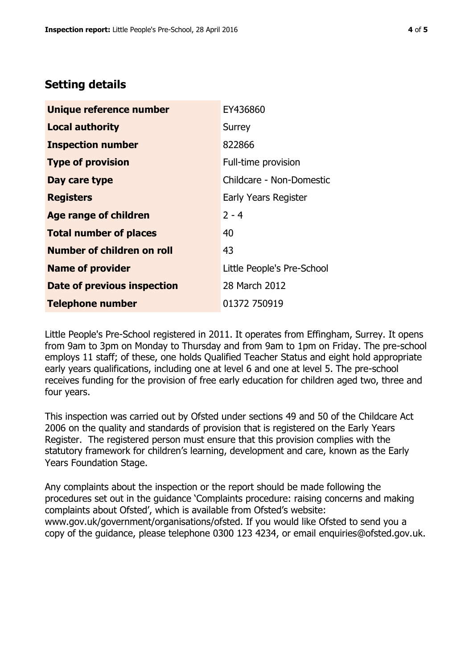## **Setting details**

| Unique reference number            | EY436860                   |  |
|------------------------------------|----------------------------|--|
| <b>Local authority</b>             | Surrey                     |  |
| <b>Inspection number</b>           | 822866                     |  |
| <b>Type of provision</b>           | Full-time provision        |  |
| Day care type                      | Childcare - Non-Domestic   |  |
| <b>Registers</b>                   | Early Years Register       |  |
| Age range of children              | $2 - 4$                    |  |
| <b>Total number of places</b>      | 40                         |  |
| Number of children on roll         | 43                         |  |
| <b>Name of provider</b>            | Little People's Pre-School |  |
| <b>Date of previous inspection</b> | 28 March 2012              |  |
| <b>Telephone number</b>            | 01372 750919               |  |

Little People's Pre-School registered in 2011. It operates from Effingham, Surrey. It opens from 9am to 3pm on Monday to Thursday and from 9am to 1pm on Friday. The pre-school employs 11 staff; of these, one holds Qualified Teacher Status and eight hold appropriate early years qualifications, including one at level 6 and one at level 5. The pre-school receives funding for the provision of free early education for children aged two, three and four years.

This inspection was carried out by Ofsted under sections 49 and 50 of the Childcare Act 2006 on the quality and standards of provision that is registered on the Early Years Register. The registered person must ensure that this provision complies with the statutory framework for children's learning, development and care, known as the Early Years Foundation Stage.

Any complaints about the inspection or the report should be made following the procedures set out in the guidance 'Complaints procedure: raising concerns and making complaints about Ofsted', which is available from Ofsted's website: www.gov.uk/government/organisations/ofsted. If you would like Ofsted to send you a copy of the guidance, please telephone 0300 123 4234, or email enquiries@ofsted.gov.uk.